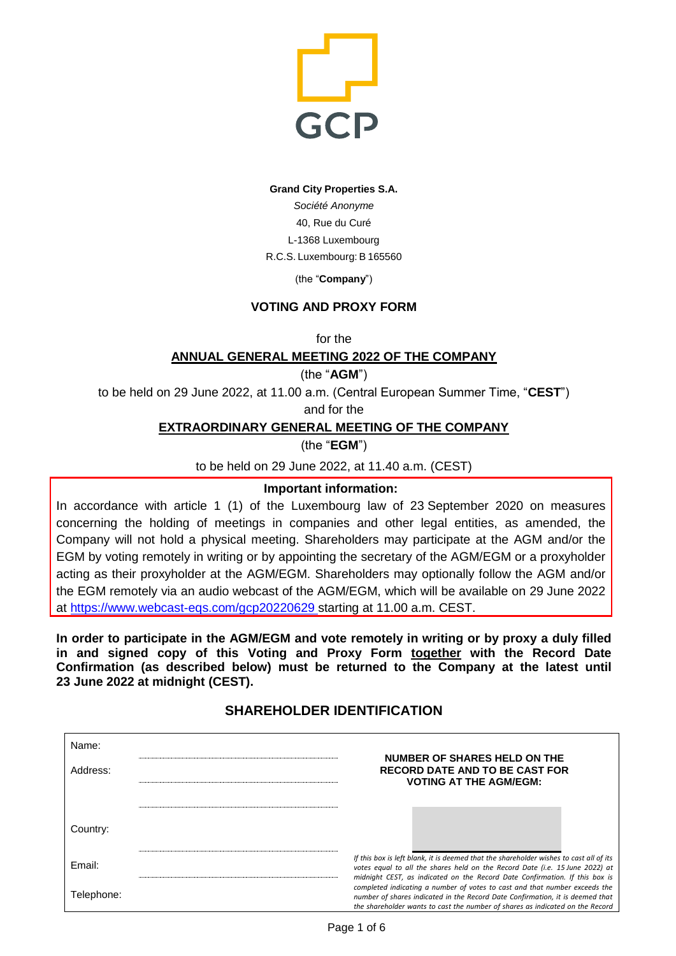

#### **Grand City Properties S.A.**

*Société Anonyme* 40, Rue du Curé L-1368 Luxembourg R.C.S. Luxembourg: B 165560

(the "**Company**")

## **VOTING AND PROXY FORM**

for the

## **ANNUAL GENERAL MEETING 2022 OF THE COMPANY**

(the "**AGM**")

to be held on 29 June 2022, at 11.00 a.m. (Central European Summer Time, "**CEST**")

and for the

## **EXTRAORDINARY GENERAL MEETING OF THE COMPANY**

(the "**EGM**")

to be held on 29 June 2022, at 11.40 a.m. (CEST)

## **Important information:**

In accordance with article 1 (1) of the Luxembourg law of 23 September 2020 on measures concerning the holding of meetings in companies and other legal entities, as amended, the Company will not hold a physical meeting. Shareholders may participate at the AGM and/or the EGM by voting remotely in writing or by appointing the secretary of the AGM/EGM or a proxyholder acting as their proxyholder at the AGM/EGM. Shareholders may optionally follow the AGM and/or the EGM remotely via an audio webcast of the AGM/EGM, which will be available on 29 June 2022 at<https://www.webcast-eqs.com/gcp20220629> starting at 11.00 a.m. CEST.

**In order to participate in the AGM/EGM and vote remotely in writing or by proxy a duly filled in and signed copy of this Voting and Proxy Form together with the Record Date Confirmation (as described below) must be returned to the Company at the latest until 23 June 2022 at midnight (CEST).** 

# **SHAREHOLDER IDENTIFICATION**

| Name:      |                                                                                                                                                                                                                                                       |  |  |
|------------|-------------------------------------------------------------------------------------------------------------------------------------------------------------------------------------------------------------------------------------------------------|--|--|
| Address:   | NUMBER OF SHARES HELD ON THE<br><b>RECORD DATE AND TO BE CAST FOR</b><br><b>VOTING AT THE AGM/EGM:</b>                                                                                                                                                |  |  |
|            |                                                                                                                                                                                                                                                       |  |  |
| Country:   |                                                                                                                                                                                                                                                       |  |  |
| Email:     | If this box is left blank, it is deemed that the shareholder wishes to cast all of its<br>votes equal to all the shares held on the Record Date (i.e. 15 June 2022) at<br>midnight CEST, as indicated on the Record Date Confirmation. If this box is |  |  |
| Telephone: | completed indicating a number of votes to cast and that number exceeds the<br>number of shares indicated in the Record Date Confirmation, it is deemed that<br>the shareholder wants to cast the number of shares as indicated on the Record          |  |  |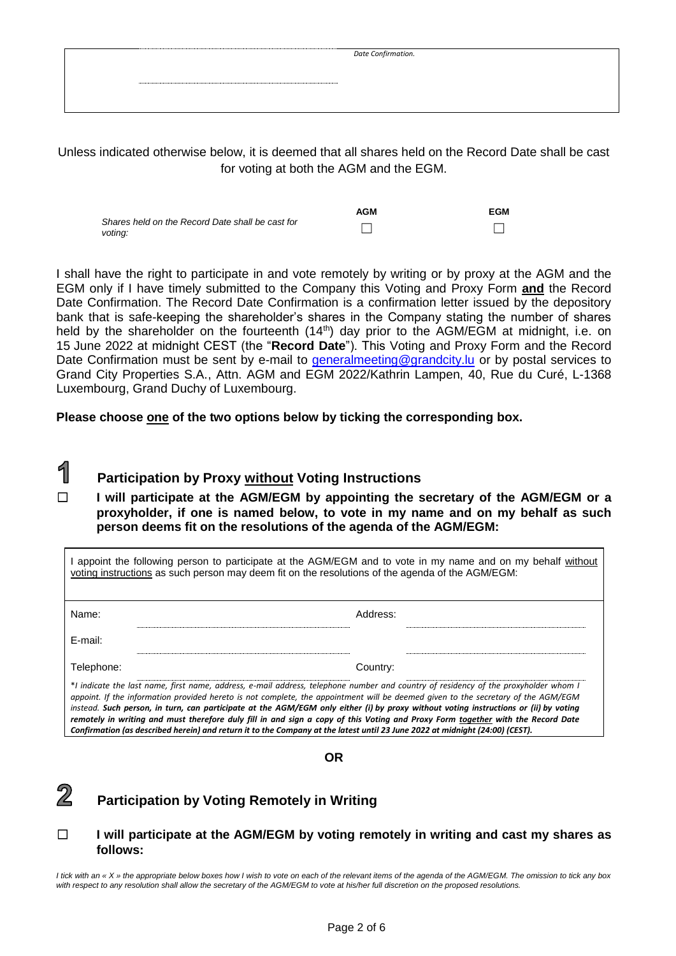| Date Confirmation. |
|--------------------|
|                    |
|                    |
|                    |
|                    |

Unless indicated otherwise below, it is deemed that all shares held on the Record Date shall be cast for voting at both the AGM and the EGM.

|                                                             | <b>AGM</b> | <b>EGM</b> |
|-------------------------------------------------------------|------------|------------|
| Shares held on the Record Date shall be cast for<br>voting: |            |            |

I shall have the right to participate in and vote remotely by writing or by proxy at the AGM and the EGM only if I have timely submitted to the Company this Voting and Proxy Form **and** the Record Date Confirmation. The Record Date Confirmation is a confirmation letter issued by the depository bank that is safe-keeping the shareholder's shares in the Company stating the number of shares held by the shareholder on the fourteenth (14th) day prior to the AGM/EGM at midnight, i.e. on 15 June 2022 at midnight CEST (the "**Record Date**"). This Voting and Proxy Form and the Record Date Confirmation must be sent by e-mail to generalmeeting@grandcity. Iu or by postal services to Grand City Properties S.A., Attn. AGM and EGM 2022/Kathrin Lampen, 40, Rue du Curé, L-1368 Luxembourg, Grand Duchy of Luxembourg.

**Please choose one of the two options below by ticking the corresponding box.**

### 1 **Participation by Proxy without Voting Instructions**

☐ **I will participate at the AGM/EGM by appointing the secretary of the AGM/EGM or a proxyholder, if one is named below, to vote in my name and on my behalf as such person deems fit on the resolutions of the agenda of the AGM/EGM:** 

|            | I appoint the following person to participate at the AGM/EGM and to vote in my name and on my behalf without<br>voting instructions as such person may deem fit on the resolutions of the agenda of the AGM/EGM:                                                                                                                                                                                                                                                                                                                                                                                                                                                                    |
|------------|-------------------------------------------------------------------------------------------------------------------------------------------------------------------------------------------------------------------------------------------------------------------------------------------------------------------------------------------------------------------------------------------------------------------------------------------------------------------------------------------------------------------------------------------------------------------------------------------------------------------------------------------------------------------------------------|
| Name:      | Address:                                                                                                                                                                                                                                                                                                                                                                                                                                                                                                                                                                                                                                                                            |
| E-mail:    |                                                                                                                                                                                                                                                                                                                                                                                                                                                                                                                                                                                                                                                                                     |
| Telephone: | Country:                                                                                                                                                                                                                                                                                                                                                                                                                                                                                                                                                                                                                                                                            |
|            | *I indicate the last name, first name, address, e-mail address, telephone number and country of residency of the proxyholder whom I<br>appoint. If the information provided hereto is not complete, the appointment will be deemed given to the secretary of the AGM/EGM<br>instead. Such person, in turn, can participate at the AGM/EGM only either (i) by proxy without voting instructions or (ii) by voting<br>remotely in writing and must therefore duly fill in and sign a copy of this Voting and Proxy Form together with the Record Date<br>Confirmation (as described herein) and return it to the Company at the latest until 23 June 2022 at midnight (24:00) (CEST). |

### **OR**

#### $\overline{2}$ **Participation by Voting Remotely in Writing**

## ☐ **I will participate at the AGM/EGM by voting remotely in writing and cast my shares as follows:**

*I tick with an « X » the appropriate below boxes how I wish to vote on each of the relevant items of the agenda of the AGM/EGM. The omission to tick any box with respect to any resolution shall allow the secretary of the AGM/EGM to vote at his/her full discretion on the proposed resolutions.*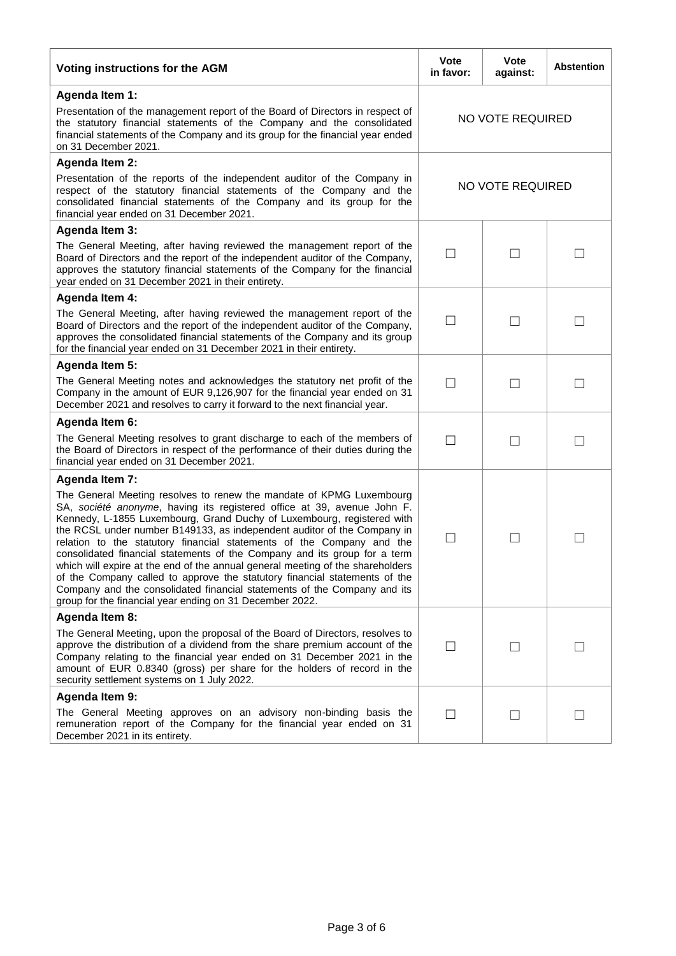| Voting instructions for the AGM                                                                                                                                                                                                                                                                                                                                                                                                                                                                                                                                                                                                                                                                                                                                    | Vote<br>in favor:        | Vote<br>against:         | <b>Abstention</b> |
|--------------------------------------------------------------------------------------------------------------------------------------------------------------------------------------------------------------------------------------------------------------------------------------------------------------------------------------------------------------------------------------------------------------------------------------------------------------------------------------------------------------------------------------------------------------------------------------------------------------------------------------------------------------------------------------------------------------------------------------------------------------------|--------------------------|--------------------------|-------------------|
| Agenda Item 1:                                                                                                                                                                                                                                                                                                                                                                                                                                                                                                                                                                                                                                                                                                                                                     |                          |                          |                   |
| Presentation of the management report of the Board of Directors in respect of<br>the statutory financial statements of the Company and the consolidated<br>financial statements of the Company and its group for the financial year ended<br>on 31 December 2021.                                                                                                                                                                                                                                                                                                                                                                                                                                                                                                  | <b>NO VOTE REQUIRED</b>  |                          |                   |
| <b>Agenda Item 2:</b>                                                                                                                                                                                                                                                                                                                                                                                                                                                                                                                                                                                                                                                                                                                                              |                          |                          |                   |
| Presentation of the reports of the independent auditor of the Company in<br>respect of the statutory financial statements of the Company and the<br>consolidated financial statements of the Company and its group for the<br>financial year ended on 31 December 2021.                                                                                                                                                                                                                                                                                                                                                                                                                                                                                            | NO VOTE REQUIRED         |                          |                   |
| <b>Agenda Item 3:</b>                                                                                                                                                                                                                                                                                                                                                                                                                                                                                                                                                                                                                                                                                                                                              |                          |                          |                   |
| The General Meeting, after having reviewed the management report of the<br>Board of Directors and the report of the independent auditor of the Company,<br>approves the statutory financial statements of the Company for the financial<br>year ended on 31 December 2021 in their entirety.                                                                                                                                                                                                                                                                                                                                                                                                                                                                       |                          | $\overline{\phantom{0}}$ |                   |
| <b>Agenda Item 4:</b>                                                                                                                                                                                                                                                                                                                                                                                                                                                                                                                                                                                                                                                                                                                                              |                          |                          |                   |
| The General Meeting, after having reviewed the management report of the<br>Board of Directors and the report of the independent auditor of the Company,<br>approves the consolidated financial statements of the Company and its group<br>for the financial year ended on 31 December 2021 in their entirety.                                                                                                                                                                                                                                                                                                                                                                                                                                                      | $\overline{\phantom{a}}$ |                          |                   |
| <b>Agenda Item 5:</b>                                                                                                                                                                                                                                                                                                                                                                                                                                                                                                                                                                                                                                                                                                                                              |                          |                          |                   |
| The General Meeting notes and acknowledges the statutory net profit of the<br>Company in the amount of EUR 9,126,907 for the financial year ended on 31<br>December 2021 and resolves to carry it forward to the next financial year.                                                                                                                                                                                                                                                                                                                                                                                                                                                                                                                              |                          | $\vert \ \ \vert$        |                   |
| Agenda Item 6:                                                                                                                                                                                                                                                                                                                                                                                                                                                                                                                                                                                                                                                                                                                                                     |                          |                          |                   |
| The General Meeting resolves to grant discharge to each of the members of<br>the Board of Directors in respect of the performance of their duties during the<br>financial year ended on 31 December 2021.                                                                                                                                                                                                                                                                                                                                                                                                                                                                                                                                                          | $\mathsf{L}$             | $\mathsf{L}$             |                   |
| <b>Agenda Item 7:</b>                                                                                                                                                                                                                                                                                                                                                                                                                                                                                                                                                                                                                                                                                                                                              |                          |                          |                   |
| The General Meeting resolves to renew the mandate of KPMG Luxembourg<br>SA, société anonyme, having its registered office at 39, avenue John F.<br>Kennedy, L-1855 Luxembourg, Grand Duchy of Luxembourg, registered with<br>the RCSL under number B149133, as independent auditor of the Company in<br>relation to the statutory financial statements of the Company and the<br>consolidated financial statements of the Company and its group for a term<br>which will expire at the end of the annual general meeting of the shareholders<br>of the Company called to approve the statutory financial statements of the<br>Company and the consolidated financial statements of the Company and its<br>group for the financial year ending on 31 December 2022. |                          | $\Box$                   |                   |
| Agenda Item 8:                                                                                                                                                                                                                                                                                                                                                                                                                                                                                                                                                                                                                                                                                                                                                     |                          |                          |                   |
| The General Meeting, upon the proposal of the Board of Directors, resolves to<br>approve the distribution of a dividend from the share premium account of the<br>Company relating to the financial year ended on 31 December 2021 in the<br>amount of EUR 0.8340 (gross) per share for the holders of record in the<br>security settlement systems on 1 July 2022.                                                                                                                                                                                                                                                                                                                                                                                                 |                          | $\mathsf{L}$             |                   |
| Agenda Item 9:                                                                                                                                                                                                                                                                                                                                                                                                                                                                                                                                                                                                                                                                                                                                                     |                          |                          |                   |
| The General Meeting approves on an advisory non-binding basis the<br>remuneration report of the Company for the financial year ended on 31<br>December 2021 in its entirety.                                                                                                                                                                                                                                                                                                                                                                                                                                                                                                                                                                                       | $\overline{\phantom{a}}$ | $\Box$                   |                   |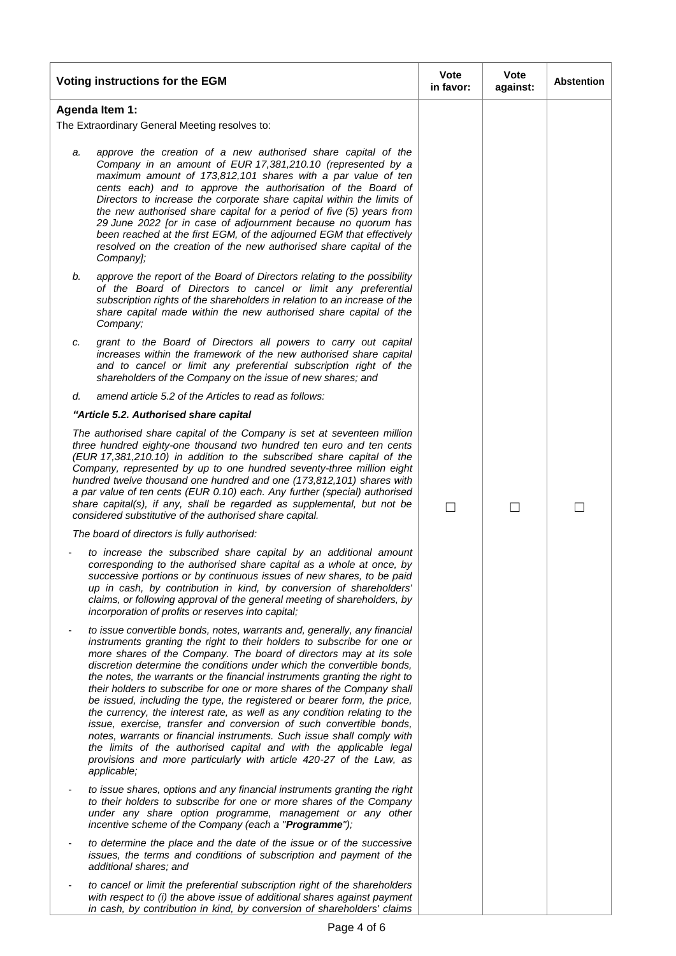|    | Voting instructions for the EGM                                                                                                                                                                                                                                                                                                                                                                                                                                                                                                                                                                                                                                                                                                                                                                                                                                                                                                    | Vote<br>in favor:        | <b>Vote</b><br>against: | <b>Abstention</b> |
|----|------------------------------------------------------------------------------------------------------------------------------------------------------------------------------------------------------------------------------------------------------------------------------------------------------------------------------------------------------------------------------------------------------------------------------------------------------------------------------------------------------------------------------------------------------------------------------------------------------------------------------------------------------------------------------------------------------------------------------------------------------------------------------------------------------------------------------------------------------------------------------------------------------------------------------------|--------------------------|-------------------------|-------------------|
|    | Agenda Item 1:                                                                                                                                                                                                                                                                                                                                                                                                                                                                                                                                                                                                                                                                                                                                                                                                                                                                                                                     |                          |                         |                   |
|    | The Extraordinary General Meeting resolves to:                                                                                                                                                                                                                                                                                                                                                                                                                                                                                                                                                                                                                                                                                                                                                                                                                                                                                     |                          |                         |                   |
| a. | approve the creation of a new authorised share capital of the<br>Company in an amount of EUR 17,381,210.10 (represented by a<br>maximum amount of 173,812,101 shares with a par value of ten<br>cents each) and to approve the authorisation of the Board of<br>Directors to increase the corporate share capital within the limits of<br>the new authorised share capital for a period of five (5) years from<br>29 June 2022 [or in case of adjournment because no quorum has<br>been reached at the first EGM, of the adjourned EGM that effectively<br>resolved on the creation of the new authorised share capital of the<br>Company];                                                                                                                                                                                                                                                                                        |                          |                         |                   |
| b. | approve the report of the Board of Directors relating to the possibility<br>of the Board of Directors to cancel or limit any preferential<br>subscription rights of the shareholders in relation to an increase of the<br>share capital made within the new authorised share capital of the<br>Company;                                                                                                                                                                                                                                                                                                                                                                                                                                                                                                                                                                                                                            |                          |                         |                   |
| c. | grant to the Board of Directors all powers to carry out capital<br>increases within the framework of the new authorised share capital<br>and to cancel or limit any preferential subscription right of the<br>shareholders of the Company on the issue of new shares; and                                                                                                                                                                                                                                                                                                                                                                                                                                                                                                                                                                                                                                                          |                          |                         |                   |
| d. | amend article 5.2 of the Articles to read as follows:                                                                                                                                                                                                                                                                                                                                                                                                                                                                                                                                                                                                                                                                                                                                                                                                                                                                              |                          |                         |                   |
|    | "Article 5.2. Authorised share capital                                                                                                                                                                                                                                                                                                                                                                                                                                                                                                                                                                                                                                                                                                                                                                                                                                                                                             |                          |                         |                   |
|    | The authorised share capital of the Company is set at seventeen million<br>three hundred eighty-one thousand two hundred ten euro and ten cents<br>(EUR 17,381,210.10) in addition to the subscribed share capital of the<br>Company, represented by up to one hundred seventy-three million eight<br>hundred twelve thousand one hundred and one (173,812,101) shares with<br>a par value of ten cents (EUR 0.10) each. Any further (special) authorised<br>share capital(s), if any, shall be regarded as supplemental, but not be<br>considered substitutive of the authorised share capital.                                                                                                                                                                                                                                                                                                                                   | $\overline{\phantom{0}}$ |                         |                   |
|    | The board of directors is fully authorised:                                                                                                                                                                                                                                                                                                                                                                                                                                                                                                                                                                                                                                                                                                                                                                                                                                                                                        |                          |                         |                   |
|    | to increase the subscribed share capital by an additional amount<br>corresponding to the authorised share capital as a whole at once, by<br>successive portions or by continuous issues of new shares, to be paid<br>up in cash, by contribution in kind, by conversion of shareholders'<br>claims, or following approval of the general meeting of shareholders, by<br>incorporation of profits or reserves into capital;                                                                                                                                                                                                                                                                                                                                                                                                                                                                                                         |                          |                         |                   |
|    | to issue convertible bonds, notes, warrants and, generally, any financial<br>instruments granting the right to their holders to subscribe for one or<br>more shares of the Company. The board of directors may at its sole<br>discretion determine the conditions under which the convertible bonds,<br>the notes, the warrants or the financial instruments granting the right to<br>their holders to subscribe for one or more shares of the Company shall<br>be issued, including the type, the registered or bearer form, the price,<br>the currency, the interest rate, as well as any condition relating to the<br>issue, exercise, transfer and conversion of such convertible bonds,<br>notes, warrants or financial instruments. Such issue shall comply with<br>the limits of the authorised capital and with the applicable legal<br>provisions and more particularly with article 420-27 of the Law, as<br>applicable; |                          |                         |                   |
|    | to issue shares, options and any financial instruments granting the right<br>to their holders to subscribe for one or more shares of the Company<br>under any share option programme, management or any other<br>incentive scheme of the Company (each a "Programme");                                                                                                                                                                                                                                                                                                                                                                                                                                                                                                                                                                                                                                                             |                          |                         |                   |
|    | to determine the place and the date of the issue or of the successive<br>issues, the terms and conditions of subscription and payment of the<br>additional shares; and                                                                                                                                                                                                                                                                                                                                                                                                                                                                                                                                                                                                                                                                                                                                                             |                          |                         |                   |
|    | to cancel or limit the preferential subscription right of the shareholders<br>with respect to (i) the above issue of additional shares against payment<br>in cash, by contribution in kind, by conversion of shareholders' claims                                                                                                                                                                                                                                                                                                                                                                                                                                                                                                                                                                                                                                                                                                  |                          |                         |                   |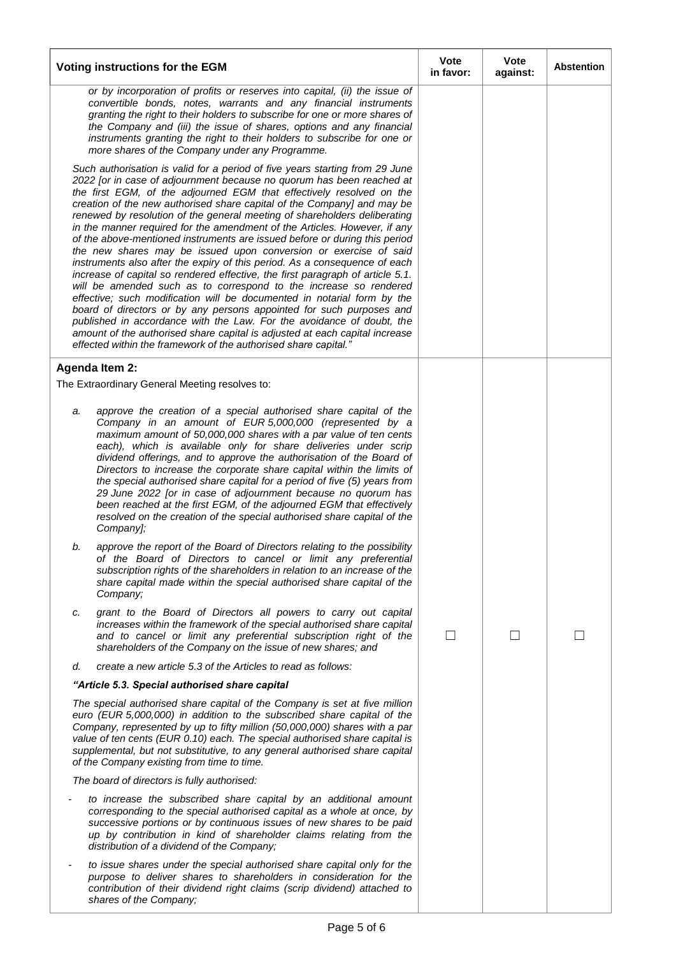|                                                                                                                                                                                                                                                                                                                                                                                                                                                                                                                                                                                                                                                                                                                                                                                                                                                                                                                                                                                                                                                                                                                                                                                                                                         | Voting instructions for the EGM                                                                                                                                                                                                                                                                                                                                                                                                                                                                                                                                                                                                                                                                                                     | <b>Vote</b><br>in favor: | Vote<br>against: | <b>Abstention</b> |
|-----------------------------------------------------------------------------------------------------------------------------------------------------------------------------------------------------------------------------------------------------------------------------------------------------------------------------------------------------------------------------------------------------------------------------------------------------------------------------------------------------------------------------------------------------------------------------------------------------------------------------------------------------------------------------------------------------------------------------------------------------------------------------------------------------------------------------------------------------------------------------------------------------------------------------------------------------------------------------------------------------------------------------------------------------------------------------------------------------------------------------------------------------------------------------------------------------------------------------------------|-------------------------------------------------------------------------------------------------------------------------------------------------------------------------------------------------------------------------------------------------------------------------------------------------------------------------------------------------------------------------------------------------------------------------------------------------------------------------------------------------------------------------------------------------------------------------------------------------------------------------------------------------------------------------------------------------------------------------------------|--------------------------|------------------|-------------------|
|                                                                                                                                                                                                                                                                                                                                                                                                                                                                                                                                                                                                                                                                                                                                                                                                                                                                                                                                                                                                                                                                                                                                                                                                                                         | or by incorporation of profits or reserves into capital, (ii) the issue of<br>convertible bonds, notes, warrants and any financial instruments<br>granting the right to their holders to subscribe for one or more shares of<br>the Company and (iii) the issue of shares, options and any financial<br>instruments granting the right to their holders to subscribe for one or<br>more shares of the Company under any Programme.                                                                                                                                                                                                                                                                                                  |                          |                  |                   |
| Such authorisation is valid for a period of five years starting from 29 June<br>2022 [or in case of adjournment because no quorum has been reached at<br>the first EGM, of the adjourned EGM that effectively resolved on the<br>creation of the new authorised share capital of the Company] and may be<br>renewed by resolution of the general meeting of shareholders deliberating<br>in the manner required for the amendment of the Articles. However, if any<br>of the above-mentioned instruments are issued before or during this period<br>the new shares may be issued upon conversion or exercise of said<br>instruments also after the expiry of this period. As a consequence of each<br>increase of capital so rendered effective, the first paragraph of article 5.1.<br>will be amended such as to correspond to the increase so rendered<br>effective; such modification will be documented in notarial form by the<br>board of directors or by any persons appointed for such purposes and<br>published in accordance with the Law. For the avoidance of doubt, the<br>amount of the authorised share capital is adjusted at each capital increase<br>effected within the framework of the authorised share capital." |                                                                                                                                                                                                                                                                                                                                                                                                                                                                                                                                                                                                                                                                                                                                     |                          |                  |                   |
|                                                                                                                                                                                                                                                                                                                                                                                                                                                                                                                                                                                                                                                                                                                                                                                                                                                                                                                                                                                                                                                                                                                                                                                                                                         | <b>Agenda Item 2:</b>                                                                                                                                                                                                                                                                                                                                                                                                                                                                                                                                                                                                                                                                                                               |                          |                  |                   |
|                                                                                                                                                                                                                                                                                                                                                                                                                                                                                                                                                                                                                                                                                                                                                                                                                                                                                                                                                                                                                                                                                                                                                                                                                                         | The Extraordinary General Meeting resolves to:                                                                                                                                                                                                                                                                                                                                                                                                                                                                                                                                                                                                                                                                                      |                          |                  |                   |
| a.                                                                                                                                                                                                                                                                                                                                                                                                                                                                                                                                                                                                                                                                                                                                                                                                                                                                                                                                                                                                                                                                                                                                                                                                                                      | approve the creation of a special authorised share capital of the<br>Company in an amount of EUR 5,000,000 (represented by a<br>maximum amount of 50,000,000 shares with a par value of ten cents<br>each), which is available only for share deliveries under scrip<br>dividend offerings, and to approve the authorisation of the Board of<br>Directors to increase the corporate share capital within the limits of<br>the special authorised share capital for a period of five (5) years from<br>29 June 2022 [or in case of adjournment because no quorum has<br>been reached at the first EGM, of the adjourned EGM that effectively<br>resolved on the creation of the special authorised share capital of the<br>Company]; |                          |                  |                   |
| b.                                                                                                                                                                                                                                                                                                                                                                                                                                                                                                                                                                                                                                                                                                                                                                                                                                                                                                                                                                                                                                                                                                                                                                                                                                      | approve the report of the Board of Directors relating to the possibility<br>of the Board of Directors to cancel or limit any preferential<br>subscription rights of the shareholders in relation to an increase of the<br>share capital made within the special authorised share capital of the<br>Company;                                                                                                                                                                                                                                                                                                                                                                                                                         |                          |                  |                   |
| c.                                                                                                                                                                                                                                                                                                                                                                                                                                                                                                                                                                                                                                                                                                                                                                                                                                                                                                                                                                                                                                                                                                                                                                                                                                      | grant to the Board of Directors all powers to carry out capital<br>increases within the framework of the special authorised share capital<br>and to cancel or limit any preferential subscription right of the<br>shareholders of the Company on the issue of new shares; and                                                                                                                                                                                                                                                                                                                                                                                                                                                       | $\vert \ \ \vert$        | $\mathsf{L}$     |                   |
| d.                                                                                                                                                                                                                                                                                                                                                                                                                                                                                                                                                                                                                                                                                                                                                                                                                                                                                                                                                                                                                                                                                                                                                                                                                                      | create a new article 5.3 of the Articles to read as follows:                                                                                                                                                                                                                                                                                                                                                                                                                                                                                                                                                                                                                                                                        |                          |                  |                   |
| "Article 5.3. Special authorised share capital<br>The special authorised share capital of the Company is set at five million<br>euro (EUR 5,000,000) in addition to the subscribed share capital of the<br>Company, represented by up to fifty million (50,000,000) shares with a par<br>value of ten cents (EUR 0.10) each. The special authorised share capital is<br>supplemental, but not substitutive, to any general authorised share capital<br>of the Company existing from time to time.                                                                                                                                                                                                                                                                                                                                                                                                                                                                                                                                                                                                                                                                                                                                       |                                                                                                                                                                                                                                                                                                                                                                                                                                                                                                                                                                                                                                                                                                                                     |                          |                  |                   |
|                                                                                                                                                                                                                                                                                                                                                                                                                                                                                                                                                                                                                                                                                                                                                                                                                                                                                                                                                                                                                                                                                                                                                                                                                                         | The board of directors is fully authorised:                                                                                                                                                                                                                                                                                                                                                                                                                                                                                                                                                                                                                                                                                         |                          |                  |                   |
|                                                                                                                                                                                                                                                                                                                                                                                                                                                                                                                                                                                                                                                                                                                                                                                                                                                                                                                                                                                                                                                                                                                                                                                                                                         | to increase the subscribed share capital by an additional amount<br>corresponding to the special authorised capital as a whole at once, by<br>successive portions or by continuous issues of new shares to be paid<br>up by contribution in kind of shareholder claims relating from the<br>distribution of a dividend of the Company;                                                                                                                                                                                                                                                                                                                                                                                              |                          |                  |                   |
|                                                                                                                                                                                                                                                                                                                                                                                                                                                                                                                                                                                                                                                                                                                                                                                                                                                                                                                                                                                                                                                                                                                                                                                                                                         | to issue shares under the special authorised share capital only for the<br>purpose to deliver shares to shareholders in consideration for the<br>contribution of their dividend right claims (scrip dividend) attached to<br>shares of the Company;                                                                                                                                                                                                                                                                                                                                                                                                                                                                                 |                          |                  |                   |